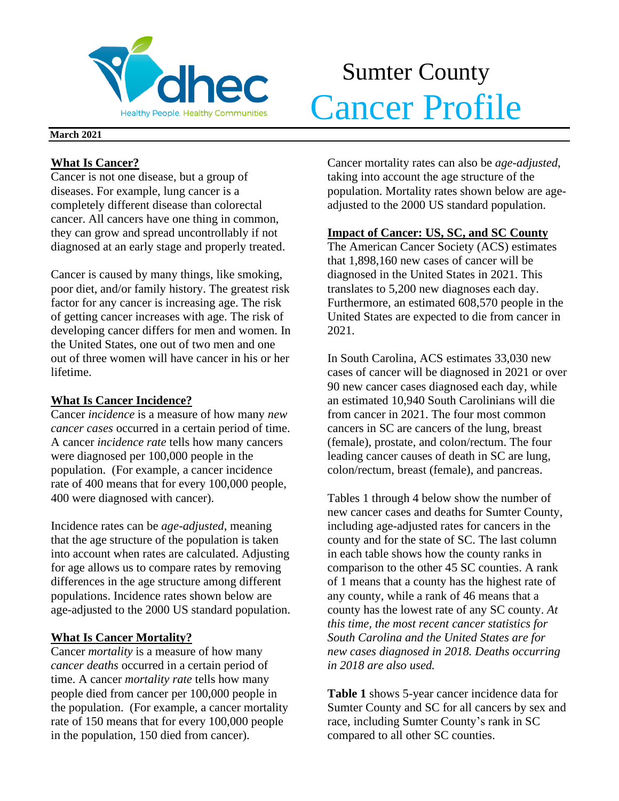

# Sumter County Meathy People. Healthy Communities. Cancer Profile

### **March 2021**

## **What Is Cancer?**

Cancer is not one disease, but a group of diseases. For example, lung cancer is a completely different disease than colorectal cancer. All cancers have one thing in common, they can grow and spread uncontrollably if not diagnosed at an early stage and properly treated.

Cancer is caused by many things, like smoking, poor diet, and/or family history. The greatest risk factor for any cancer is increasing age. The risk of getting cancer increases with age. The risk of developing cancer differs for men and women. In the United States, one out of two men and one out of three women will have cancer in his or her lifetime.

## **What Is Cancer Incidence?**

Cancer *incidence* is a measure of how many *new cancer cases* occurred in a certain period of time. A cancer *incidence rate* tells how many cancers were diagnosed per 100,000 people in the population. (For example, a cancer incidence rate of 400 means that for every 100,000 people, 400 were diagnosed with cancer).

Incidence rates can be *age-adjusted*, meaning that the age structure of the population is taken into account when rates are calculated. Adjusting for age allows us to compare rates by removing differences in the age structure among different populations. Incidence rates shown below are age-adjusted to the 2000 US standard population.

## **What Is Cancer Mortality?**

Cancer *mortality* is a measure of how many *cancer deaths* occurred in a certain period of time. A cancer *mortality rate* tells how many people died from cancer per 100,000 people in the population. (For example, a cancer mortality rate of 150 means that for every 100,000 people in the population, 150 died from cancer).

Cancer mortality rates can also be *age-adjusted*, taking into account the age structure of the population. Mortality rates shown below are ageadjusted to the 2000 US standard population.

## **Impact of Cancer: US, SC, and SC County**

The American Cancer Society (ACS) estimates that 1,898,160 new cases of cancer will be diagnosed in the United States in 2021. This translates to 5,200 new diagnoses each day. Furthermore, an estimated 608,570 people in the United States are expected to die from cancer in 2021.

In South Carolina, ACS estimates 33,030 new cases of cancer will be diagnosed in 2021 or over 90 new cancer cases diagnosed each day, while an estimated 10,940 South Carolinians will die from cancer in 2021. The four most common cancers in SC are cancers of the lung, breast (female), prostate, and colon/rectum. The four leading cancer causes of death in SC are lung, colon/rectum, breast (female), and pancreas.

Tables 1 through 4 below show the number of new cancer cases and deaths for Sumter County, including age-adjusted rates for cancers in the county and for the state of SC. The last column in each table shows how the county ranks in comparison to the other 45 SC counties. A rank of 1 means that a county has the highest rate of any county, while a rank of 46 means that a county has the lowest rate of any SC county. *At this time, the most recent cancer statistics for South Carolina and the United States are for new cases diagnosed in 2018. Deaths occurring in 2018 are also used.*

**Table 1** shows 5-year cancer incidence data for Sumter County and SC for all cancers by sex and race, including Sumter County's rank in SC compared to all other SC counties.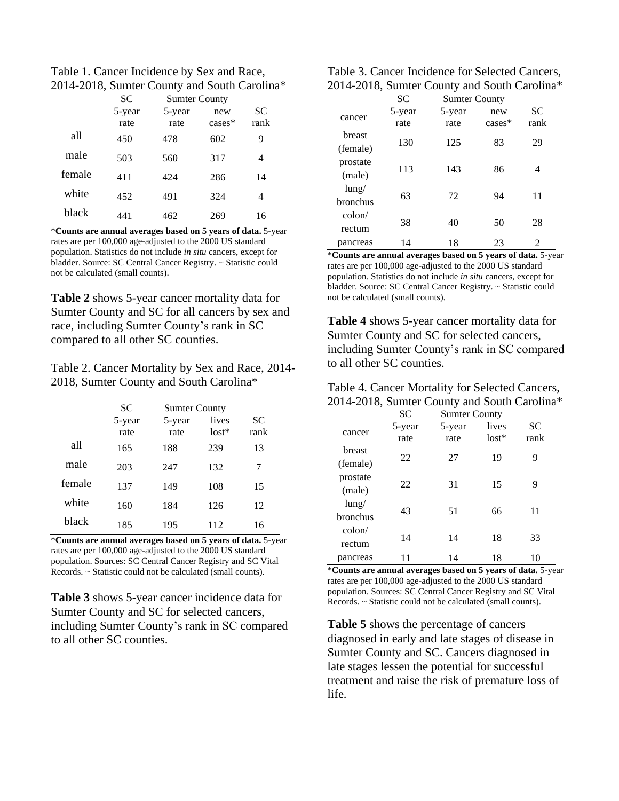Table 1. Cancer Incidence by Sex and Race, 2014-2018, Sumter County and South Carolina\*

|        | <b>SC</b> | <b>Sumter County</b> |           |           |
|--------|-----------|----------------------|-----------|-----------|
|        | 5-year    | 5-year               | new       | <b>SC</b> |
|        | rate      | rate                 | $cases^*$ | rank      |
| all    | 450       | 478                  | 602       | 9         |
| male   | 503       | 560                  | 317       | 4         |
| female | 411       | 424                  | 286       | 14        |
| white  | 452       | 491                  | 324       | 4         |
| black  | 441       | 462                  | 269       | 16        |

\***Counts are annual averages based on 5 years of data.** 5-year rates are per 100,000 age-adjusted to the 2000 US standard population. Statistics do not include *in situ* cancers, except for bladder. Source: SC Central Cancer Registry. ~ Statistic could not be calculated (small counts).

**Table 2** shows 5-year cancer mortality data for Sumter County and SC for all cancers by sex and race, including Sumter County's rank in SC compared to all other SC counties.

Table 2. Cancer Mortality by Sex and Race, 2014- 2018, Sumter County and South Carolina\*

|        | SС             | <b>Sumter County</b> |                  |                   |
|--------|----------------|----------------------|------------------|-------------------|
|        | 5-year<br>rate | 5-year<br>rate       | lives<br>$lost*$ | <b>SC</b><br>rank |
| all    | 165            | 188                  | 239              | 13                |
| male   | 203            | 247                  | 132              | 7                 |
| female | 137            | 149                  | 108              | 15                |
| white  | 160            | 184                  | 126              | 12                |
| black  | 185            | 195                  | 112              | 16                |

\***Counts are annual averages based on 5 years of data.** 5-year rates are per 100,000 age-adjusted to the 2000 US standard population. Sources: SC Central Cancer Registry and SC Vital Records. ~ Statistic could not be calculated (small counts).

**Table 3** shows 5-year cancer incidence data for Sumter County and SC for selected cancers, including Sumter County's rank in SC compared to all other SC counties.

| Table 3. Cancer Incidence for Selected Cancers, |
|-------------------------------------------------|
| 2014-2018, Sumter County and South Carolina*    |

|                 | SC     | <b>Sumter County</b> |          |                |  |
|-----------------|--------|----------------------|----------|----------------|--|
| cancer          | 5-year | 5-year               | new      | SC             |  |
|                 | rate   | rate                 | $cases*$ | rank           |  |
| <b>breast</b>   |        | 125                  |          |                |  |
| (female)        | 130    |                      | 83       | 29             |  |
| prostate        | 113    | 143                  | 86       | 4              |  |
| (male)          |        |                      |          |                |  |
| $l$ ung/        | 63     | 72                   | 94       | 11             |  |
| bronchus        |        |                      |          |                |  |
| $\text{colon}/$ |        |                      |          |                |  |
| rectum          | 38     | 40                   | 50       | 28             |  |
| pancreas        | 14     | 18                   | 23       | $\mathfrak{D}$ |  |

\***Counts are annual averages based on 5 years of data.** 5-year rates are per 100,000 age-adjusted to the 2000 US standard population. Statistics do not include *in situ* cancers, except for bladder. Source: SC Central Cancer Registry. ~ Statistic could not be calculated (small counts).

**Table 4** shows 5-year cancer mortality data for Sumter County and SC for selected cancers, including Sumter County's rank in SC compared to all other SC counties.

| Table 4. Cancer Mortality for Selected Cancers, |
|-------------------------------------------------|
| 2014-2018, Sumter County and South Carolina*    |

|                 | SC     | <b>Sumter County</b> |         |      |
|-----------------|--------|----------------------|---------|------|
| cancer          | 5-year | 5-year               | lives   | SС   |
|                 | rate   | rate                 | $lost*$ | rank |
| breast          |        |                      |         |      |
| (female)        | 22     | 27                   | 19      | 9    |
| prostate        |        |                      |         |      |
| (male)          | 22     | 31                   | 15      | 9    |
| $l$ ung/        |        |                      |         |      |
| <b>bronchus</b> | 43     | 51                   | 66      | 11   |
| $\text{colon}/$ |        |                      |         |      |
| rectum          | 14     | 14                   | 18      | 33   |
| pancreas        |        | 14                   | 18      | 10   |

\***Counts are annual averages based on 5 years of data.** 5-year rates are per 100,000 age-adjusted to the 2000 US standard population. Sources: SC Central Cancer Registry and SC Vital Records. ~ Statistic could not be calculated (small counts).

**Table 5** shows the percentage of cancers diagnosed in early and late stages of disease in Sumter County and SC. Cancers diagnosed in late stages lessen the potential for successful treatment and raise the risk of premature loss of life.